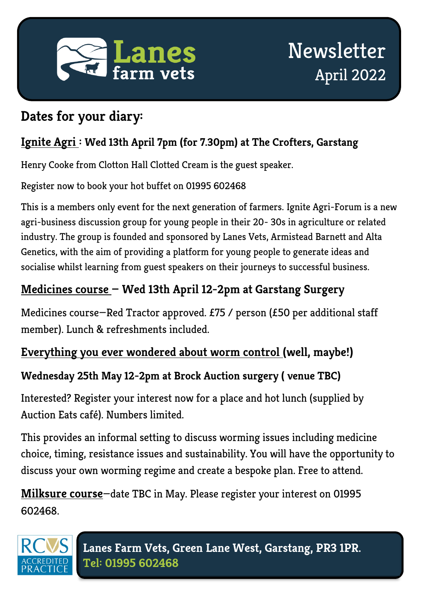

### **Dates for your diary:**

### **Ignite Agri : Wed 13th April 7pm (for 7.30pm) at The Crofters, Garstang**

Henry Cooke from Clotton Hall Clotted Cream is the guest speaker.

Register now to book your hot buffet on 01995 602468

This is a members only event for the next generation of farmers. Ignite Agri-Forum is a new agri-business discussion group for young people in their 20- 30s in agriculture or related industry. The group is founded and sponsored by Lanes Vets, Armistead Barnett and Alta Genetics, with the aim of providing a platform for young people to generate ideas and socialise whilst learning from guest speakers on their journeys to successful business.

### **Medicines course — Wed 13th April 12-2pm at Garstang Surgery**

Medicines course—Red Tractor approved. £75 / person (£50 per additional staff member). Lunch & refreshments included.

### **Everything you ever wondered about worm control (well, maybe!)**

### **Wednesday 25th May 12-2pm at Brock Auction surgery ( venue TBC)**

Interested? Register your interest now for a place and hot lunch (supplied by Auction Eats café). Numbers limited.

This provides an informal setting to discuss worming issues including medicine choice, timing, resistance issues and sustainability. You will have the opportunity to discuss your own worming regime and create a bespoke plan. Free to attend.

**Milksure course**—date TBC in May. Please register your interest on 01995 602468.

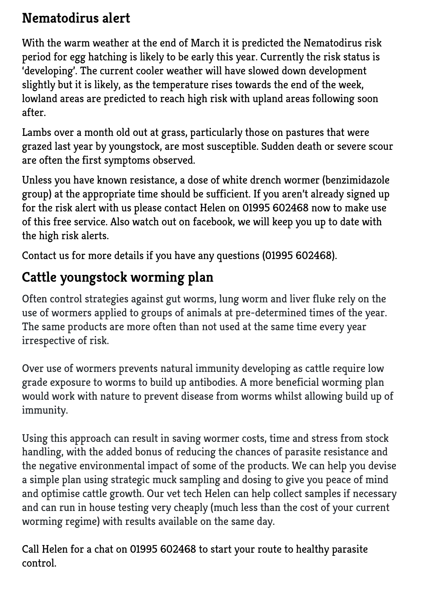## **Nematodirus alert**

With the warm weather at the end of March it is predicted the Nematodirus risk period for egg hatching is likely to be early this year. Currently the risk status is 'developing'. The current cooler weather will have slowed down development slightly but it is likely, as the temperature rises towards the end of the week, lowland areas are predicted to reach high risk with upland areas following soon after.

Lambs over a month old out at grass, particularly those on pastures that were grazed last year by youngstock, are most susceptible. Sudden death or severe scour are often the first symptoms observed.

Unless you have known resistance, a dose of white drench wormer (benzimidazole group) at the appropriate time should be sufficient. If you aren't already signed up for the risk alert with us please contact Helen on 01995 602468 now to make use of this free service. Also watch out on facebook, we will keep you up to date with the high risk alerts.

Contact us for more details if you have any questions (01995 602468).

## **Cattle youngstock worming plan**

Often control strategies against gut worms, lung worm and liver fluke rely on the use of wormers applied to groups of animals at pre-determined times of the year. The same products are more often than not used at the same time every year irrespective of risk.

Over use of wormers prevents natural immunity developing as cattle require low grade exposure to worms to build up antibodies. A more beneficial worming plan would work with nature to prevent disease from worms whilst allowing build up of immunity.

Using this approach can result in saving wormer costs, time and stress from stock handling, with the added bonus of reducing the chances of parasite resistance and the negative environmental impact of some of the products. We can help you devise a simple plan using strategic muck sampling and dosing to give you peace of mind and optimise cattle growth. Our vet tech Helen can help collect samples if necessary and can run in house testing very cheaply (much less than the cost of your current worming regime) with results available on the same day.

Call Helen for a chat on 01995 602468 to start your route to healthy parasite control.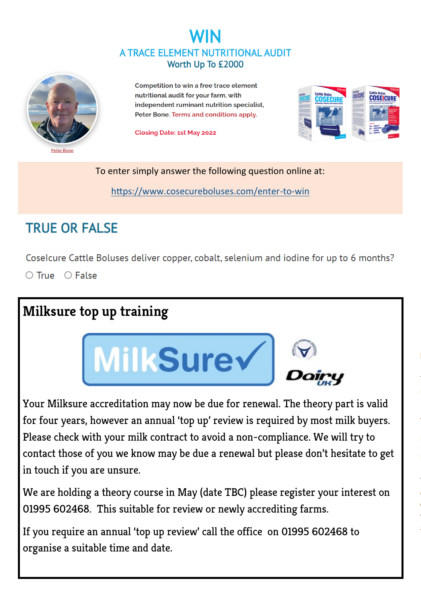### WIN A TRACE ELEMENT NUTRITIONAL AUDIT Worth Up To £2000



Competition to win a free trace element nutritional audit for your farm, with independent ruminant nutrition specialist. Peter Bone. Terms and conditions apply.

**Closing Date: 1st May 2022** 



To enter simply answer the following question online at:

[https://www.cosecureboluses.com/enter](https://www.cosecureboluses.com/enter-to-win)-to-win

### **TRUE OR FAI SE**

Coselcure Cattle Boluses deliver copper, cobalt, selenium and iodine for up to 6 months?

O True O False

## **Milksure top up training**



Your Milksure accreditation may now be due for renewal. The theory part is valid for four years, however an annual 'top up' review is required by most milk buyers. Please check with your milk contract to avoid a non-compliance. We will try to contact those of you we know may be due a renewal but please don't hesitate to get in touch if you are unsure.

We are holding a theory course in May (date TBC) please register your interest on 01995 602468. This suitable for review or newly accrediting farms.

If you require an annual 'top up review' call the office on 01995 602468 to organise a suitable time and date.